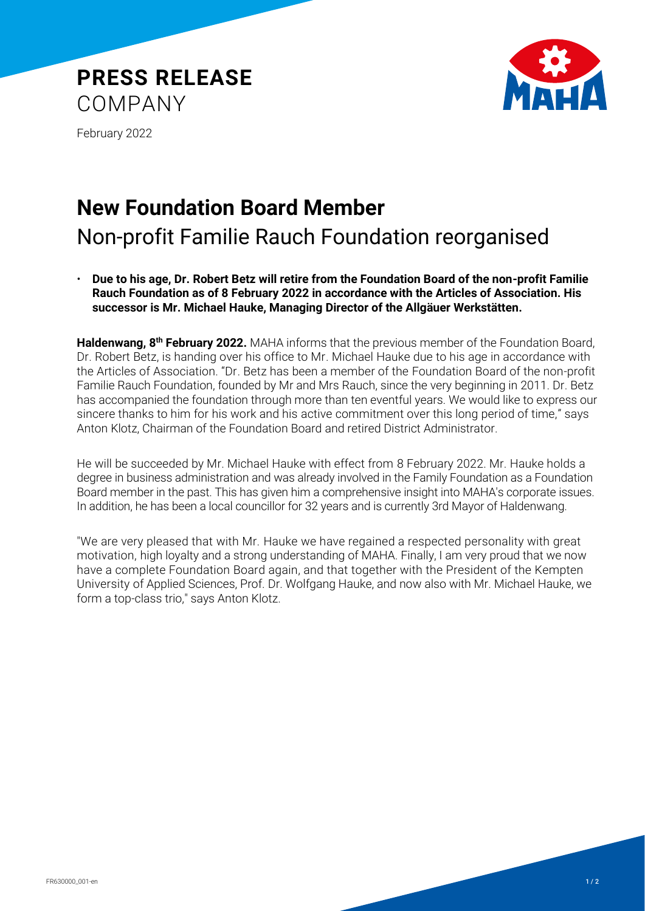



February 2022

## **New Foundation Board Member**

## Non-profit Familie Rauch Foundation reorganised

• **Due to his age, Dr. Robert Betz will retire from the Foundation Board of the non-profit Familie Rauch Foundation as of 8 February 2022 in accordance with the Articles of Association. His successor is Mr. Michael Hauke, Managing Director of the Allgäuer Werkstätten.**

**Haldenwang, 8th February 2022.** MAHA informs that the previous member of the Foundation Board, Dr. Robert Betz, is handing over his office to Mr. Michael Hauke due to his age in accordance with the Articles of Association. "Dr. Betz has been a member of the Foundation Board of the non-profit Familie Rauch Foundation, founded by Mr and Mrs Rauch, since the very beginning in 2011. Dr. Betz has accompanied the foundation through more than ten eventful years. We would like to express our sincere thanks to him for his work and his active commitment over this long period of time," says Anton Klotz, Chairman of the Foundation Board and retired District Administrator.

He will be succeeded by Mr. Michael Hauke with effect from 8 February 2022. Mr. Hauke holds a degree in business administration and was already involved in the Family Foundation as a Foundation Board member in the past. This has given him a comprehensive insight into MAHA's corporate issues. In addition, he has been a local councillor for 32 years and is currently 3rd Mayor of Haldenwang.

"We are very pleased that with Mr. Hauke we have regained a respected personality with great motivation, high loyalty and a strong understanding of MAHA. Finally, I am very proud that we now have a complete Foundation Board again, and that together with the President of the Kempten University of Applied Sciences, Prof. Dr. Wolfgang Hauke, and now also with Mr. Michael Hauke, we form a top-class trio," says Anton Klotz.